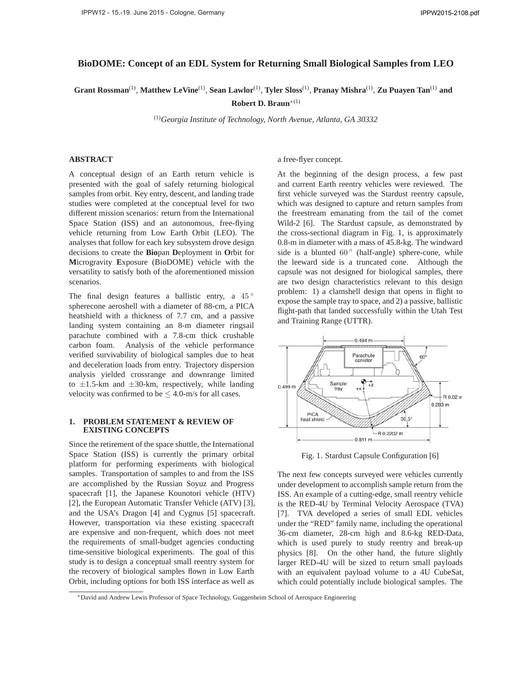# **BioDOME: Concept of an EDL System for Returning Small Biological Samples from LEO**

**Grant Rossman**(1), **Matthew LeVine**(1), **Sean Lawlor**(1), **Tyler Sloss**(1), **Pranay Mishra**(1), **Zu Puayen Tan**(1) **and**

**Robert D. Braun**<sup>∗</sup>(1)

(1)*Georgia Institute of Technology, North Avenue, Atlanta, GA 30332*

# **ABSTRACT**

A conceptual design of an Earth return vehicle is presented with the goal of safely returning biological samples from orbit. Key entry, descent, and landing trade studies were completed at the conceptual level for two different mission scenarios: return from the International Space Station (ISS) and an autonomous, free-flying vehicle returning from Low Earth Orbit (LEO). The analyses that follow for each key subsystem drove design decisions to create the **Bio**pan **D**eployment in **O**rbit for **M**icrogravity **E**xposure (BioDOME) vehicle with the versatility to satisfy both of the aforementioned mission scenarios.

The final design features a ballistic entry, a  $45^\circ$ spherecone aeroshell with a diameter of 88-cm, a PICA heatshield with a thickness of 7.7 cm, and a passive landing system containing an 8-m diameter ringsail parachute combined with a 7.8-cm thick crushable carbon foam. Analysis of the vehicle performance verified survivability of biological samples due to heat and deceleration loads from entry. Trajectory dispersion analysis yielded crossrange and downrange limited to  $\pm 1.5$ -km and  $\pm 30$ -km, respectively, while landing velocity was confirmed to be  $\leq 4.0$ -m/s for all cases.

## **1. PROBLEM STATEMENT & REVIEW OF EXISTING CONCEPTS**

Since the retirement of the space shuttle, the International Space Station (ISS) is currently the primary orbital platform for performing experiments with biological samples. Transportation of samples to and from the ISS are accomplished by the Russian Soyuz and Progress spacecraft [1], the Japanese Kounotori vehicle (HTV) [2], the European Automatic Transfer Vehicle (ATV) [3], and the USA's Dragon [4] and Cygnus [5] spacecraft. However, transportation via these existing spacecraft are expensive and non-frequent, which does not meet the requirements of small-budget agencies conducting time-sensitive biological experiments. The goal of this study is to design a conceptual small reentry system for the recovery of biological samples flown in Low Earth Orbit, including options for both ISS interface as well as

a free-flyer concept.

At the beginning of the design process, a few past and current Earth reentry vehicles were reviewed. The first vehicle surveyed was the Stardust reentry capsule, which was designed to capture and return samples from the freestream emanating from the tail of the comet Wild-2 [6]. The Stardust capsule, as demonstrated by the cross-sectional diagram in Fig. 1, is approximately 0.8-m in diameter with a mass of 45.8-kg. The windward side is a blunted  $60°$  (half-angle) sphere-cone, while the leeward side is a truncated cone. Although the capsule was not designed for biological samples, there are two design characteristics relevant to this design problem: 1) a clamshell design that opens in flight to expose the sample tray to space, and 2) a passive, ballistic flight-path that landed successfully within the Utah Test and Training Range (UTTR).



Fig. 1. Stardust Capsule Configuration [6]

The next few concepts surveyed were vehicles currently under development to accomplish sample return from the ISS. An example of a cutting-edge, small reentry vehicle is the RED-4U by Terminal Velocity Aerospace (TVA) [7]. TVA developed a series of small EDL vehicles under the "RED" family name, including the operational 36-cm diameter, 28-cm high and 8.6-kg RED-Data, which is used purely to study reentry and break-up physics [8]. On the other hand, the future slightly larger RED-4U will be sized to return small payloads with an equivalent payload volume to a 4U CubeSat, which could potentially include biological samples. The

<sup>∗</sup>David and Andrew Lewis Professor of Space Technology, Guggenheim School of Aerospace Engineering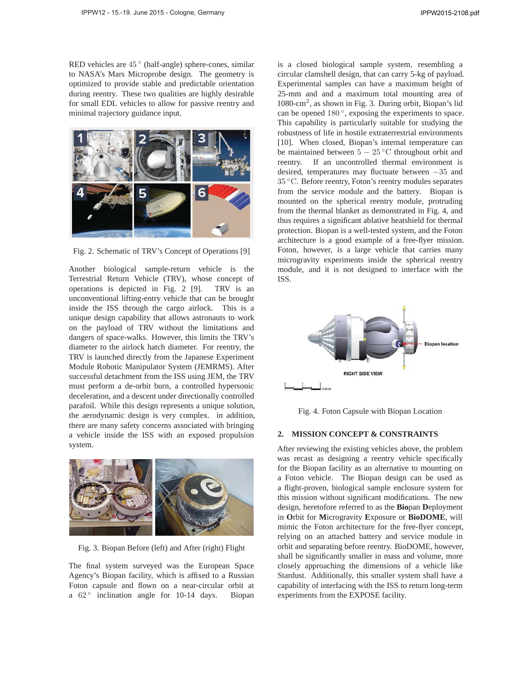RED vehicles are  $45^\circ$  (half-angle) sphere-cones, similar to NASA's Mars Microprobe design. The geometry is optimized to provide stable and predictable orientation during reentry. These two qualities are highly desirable for small EDL vehicles to allow for passive reentry and minimal trajectory guidance input.



Fig. 2. Schematic of TRV's Concept of Operations [9]

Another biological sample-return vehicle is the Terrestrial Return Vehicle (TRV), whose concept of operations is depicted in Fig. 2 [9]. TRV is an unconventional lifting-entry vehicle that can be brought inside the ISS through the cargo airlock. This is a unique design capability that allows astronauts to work on the payload of TRV without the limitations and dangers of space-walks. However, this limits the TRV's diameter to the airlock hatch diameter. For reentry, the TRV is launched directly from the Japanese Experiment Module Robotic Manipulator System (JEMRMS). After successful detachment from the ISS using JEM, the TRV must perform a de-orbit burn, a controlled hypersonic deceleration, and a descent under directionally controlled parafoil. While this design represents a unique solution, the aerodynamic design is very complex. in addition, there are many safety concerns associated with bringing a vehicle inside the ISS with an exposed propulsion system.



Fig. 3. Biopan Before (left) and After (right) Flight

The final system surveyed was the European Space Agency's Biopan facility, which is affixed to a Russian Foton capsule and flown on a near-circular orbit at a 62° inclination angle for 10-14 days. Biopan

is a closed biological sample system, resembling a circular clamshell design, that can carry 5-kg of payload. Experimental samples can have a maximum height of 25-mm and and a maximum total mounting area of 1080-cm<sup>2</sup>, as shown in Fig. 3. During orbit, Biopan's lid can be opened 180 °, exposing the experiments to space. This capability is particularly suitable for studying the robustness of life in hostile extraterrestrial environments [10]. When closed, Biopan's internal temperature can be maintained between 5 − 25 ◦C throughout orbit and reentry. If an uncontrolled thermal environment is desired, temperatures may fluctuate between −35 and 35 ◦C. Before reentry, Foton's reentry modules separates from the service module and the battery. Biopan is mounted on the spherical reentry module, protruding from the thermal blanket as demonstrated in Fig. 4, and thus requires a significant ablative heatshield for thermal protection. Biopan is a well-tested system, and the Foton architecture is a good example of a free-flyer mission. Foton, however, is a large vehicle that carries many microgravity experiments inside the spherical reentry module, and it is not designed to interface with the ISS.



Fig. 4. Foton Capsule with Biopan Location

# **2. MISSION CONCEPT & CONSTRAINTS**

After reviewing the existing vehicles above, the problem was recast as designing a reentry vehicle specifically for the Biopan facility as an alternative to mounting on a Foton vehicle. The Biopan design can be used as a flight-proven, biological sample enclosure system for this mission without significant modifications. The new design, heretofore referred to as the **Bio**pan **D**eployment in **O**rbit for **M**icrogravity **E**xposure or **BioDOME**, will mimic the Foton architecture for the free-flyer concept, relying on an attached battery and service module in orbit and separating before reentry. BioDOME, however, shall be significantly smaller in mass and volume, more closely approaching the dimensions of a vehicle like Stardust. Additionally, this smaller system shall have a capability of interfacing with the ISS to return long-term experiments from the EXPOSE facility.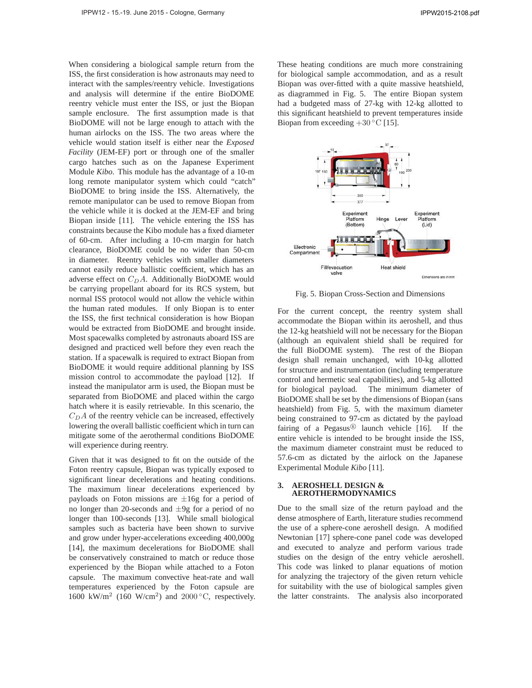When considering a biological sample return from the ISS, the first consideration is how astronauts may need to interact with the samples/reentry vehicle. Investigations and analysis will determine if the entire BioDOME reentry vehicle must enter the ISS, or just the Biopan sample enclosure. The first assumption made is that BioDOME will not be large enough to attach with the human airlocks on the ISS. The two areas where the vehicle would station itself is either near the *Exposed Facility* (JEM-EF) port or through one of the smaller cargo hatches such as on the Japanese Experiment Module *Kibo*. This module has the advantage of a 10-m long remote manipulator system which could "catch" BioDOME to bring inside the ISS. Alternatively, the remote manipulator can be used to remove Biopan from the vehicle while it is docked at the JEM-EF and bring Biopan inside [11]. The vehicle entering the ISS has constraints because the Kibo module has a fixed diameter of 60-cm. After including a 10-cm margin for hatch clearance, BioDOME could be no wider than 50-cm in diameter. Reentry vehicles with smaller diameters cannot easily reduce ballistic coefficient, which has an adverse effect on  $C<sub>D</sub>A$ . Additionally BioDOME would be carrying propellant aboard for its RCS system, but normal ISS protocol would not allow the vehicle within the human rated modules. If only Biopan is to enter the ISS, the first technical consideration is how Biopan would be extracted from BioDOME and brought inside. Most spacewalks completed by astronauts aboard ISS are designed and practiced well before they even reach the station. If a spacewalk is required to extract Biopan from BioDOME it would require additional planning by ISS mission control to accommodate the payload [12]. If instead the manipulator arm is used, the Biopan must be separated from BioDOME and placed within the cargo hatch where it is easily retrievable. In this scenario, the  $C<sub>D</sub>A$  of the reentry vehicle can be increased, effectively lowering the overall ballistic coefficient which in turn can mitigate some of the aerothermal conditions BioDOME will experience during reentry.

Given that it was designed to fit on the outside of the Foton reentry capsule, Biopan was typically exposed to significant linear decelerations and heating conditions. The maximum linear decelerations experienced by payloads on Foton missions are  $\pm 16g$  for a period of no longer than 20-seconds and  $\pm 9g$  for a period of no longer than 100-seconds [13]. While small biological samples such as bacteria have been shown to survive and grow under hyper-accelerations exceeding 400,000g [14], the maximum decelerations for BioDOME shall be conservatively constrained to match or reduce those experienced by the Biopan while attached to a Foton capsule. The maximum convective heat-rate and wall temperatures experienced by the Foton capsule are 1600 kW/m<sup>2</sup> (160 W/cm<sup>2</sup>) and 2000 °C, respectively.

These heating conditions are much more constraining for biological sample accommodation, and as a result Biopan was over-fitted with a quite massive heatshield, as diagrammed in Fig. 5. The entire Biopan system had a budgeted mass of 27-kg with 12-kg allotted to this significant heatshield to prevent temperatures inside Biopan from exceeding  $+30\degree\text{C}$  [15].



Fig. 5. Biopan Cross-Section and Dimensions

For the current concept, the reentry system shall accommodate the Biopan within its aeroshell, and thus the 12-kg heatshield will not be necessary for the Biopan (although an equivalent shield shall be required for the full BioDOME system). The rest of the Biopan design shall remain unchanged, with 10-kg allotted for structure and instrumentation (including temperature control and hermetic seal capabilities), and 5-kg allotted for biological payload. The minimum diameter of BioDOME shall be set by the dimensions of Biopan (sans heatshield) from Fig. 5, with the maximum diameter being constrained to 97-cm as dictated by the payload fairing of a Pegasus<sup>®</sup> launch vehicle [16]. If the entire vehicle is intended to be brought inside the ISS, the maximum diameter constraint must be reduced to 57.6-cm as dictated by the airlock on the Japanese Experimental Module *Kibo* [11].

### **3. AEROSHELL DESIGN & AEROTHERMODYNAMICS**

Due to the small size of the return payload and the dense atmosphere of Earth, literature studies recommend the use of a sphere-cone aeroshell design. A modified Newtonian [17] sphere-cone panel code was developed and executed to analyze and perform various trade studies on the design of the entry vehicle aeroshell. This code was linked to planar equations of motion for analyzing the trajectory of the given return vehicle for suitability with the use of biological samples given the latter constraints. The analysis also incorporated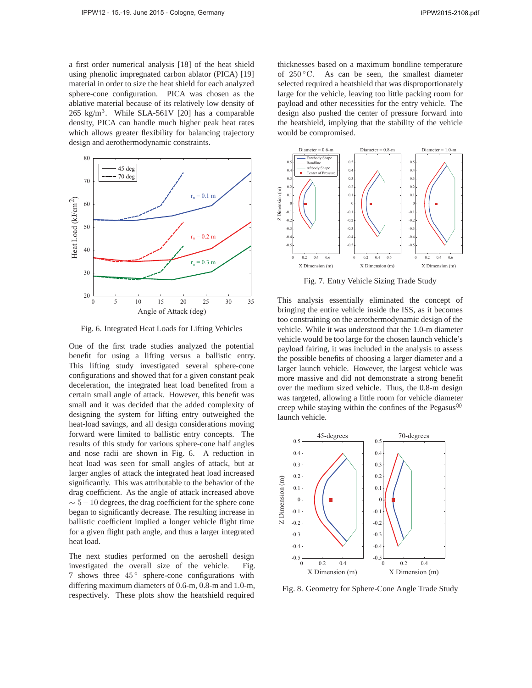a first order numerical analysis [18] of the heat shield using phenolic impregnated carbon ablator (PICA) [19] material in order to size the heat shield for each analyzed sphere-cone configuration. PICA was chosen as the ablative material because of its relatively low density of 265 kg/m<sup>3</sup>. While SLA-561V [20] has a comparable density, PICA can handle much higher peak heat rates which allows greater flexibility for balancing trajectory design and aerothermodynamic constraints.



Fig. 6. Integrated Heat Loads for Lifting Vehicles

One of the first trade studies analyzed the potential benefit for using a lifting versus a ballistic entry. This lifting study investigated several sphere-cone configurations and showed that for a given constant peak deceleration, the integrated heat load benefited from a certain small angle of attack. However, this benefit was small and it was decided that the added complexity of designing the system for lifting entry outweighed the heat-load savings, and all design considerations moving forward were limited to ballistic entry concepts. The results of this study for various sphere-cone half angles and nose radii are shown in Fig. 6. A reduction in heat load was seen for small angles of attack, but at larger angles of attack the integrated heat load increased significantly. This was attributable to the behavior of the drag coefficient. As the angle of attack increased above  $\sim$  5 – 10 degrees, the drag coefficient for the sphere cone began to significantly decrease. The resulting increase in ballistic coefficient implied a longer vehicle flight time for a given flight path angle, and thus a larger integrated heat load.

The next studies performed on the aeroshell design investigated the overall size of the vehicle. Fig. 7 shows three 45° sphere-cone configurations with differing maximum diameters of 0.6-m, 0.8-m and 1.0-m, respectively. These plots show the heatshield required thicknesses based on a maximum bondline temperature of  $250^{\circ}$ C. As can be seen, the smallest diameter selected required a heatshield that was disproportionately large for the vehicle, leaving too little packing room for payload and other necessities for the entry vehicle. The design also pushed the center of pressure forward into the heatshield, implying that the stability of the vehicle would be compromised.



Fig. 7. Entry Vehicle Sizing Trade Study

This analysis essentially eliminated the concept of bringing the entire vehicle inside the ISS, as it becomes too constraining on the aerothermodynamic design of the vehicle. While it was understood that the 1.0-m diameter vehicle would be too large for the chosen launch vehicle's payload fairing, it was included in the analysis to assess the possible benefits of choosing a larger diameter and a larger launch vehicle. However, the largest vehicle was more massive and did not demonstrate a strong benefit over the medium sized vehicle. Thus, the 0.8-m design was targeted, allowing a little room for vehicle diameter creep while staying within the confines of the Pegasus<sup>( $B$ )</sup> launch vehicle.



Fig. 8. Geometry for Sphere-Cone Angle Trade Study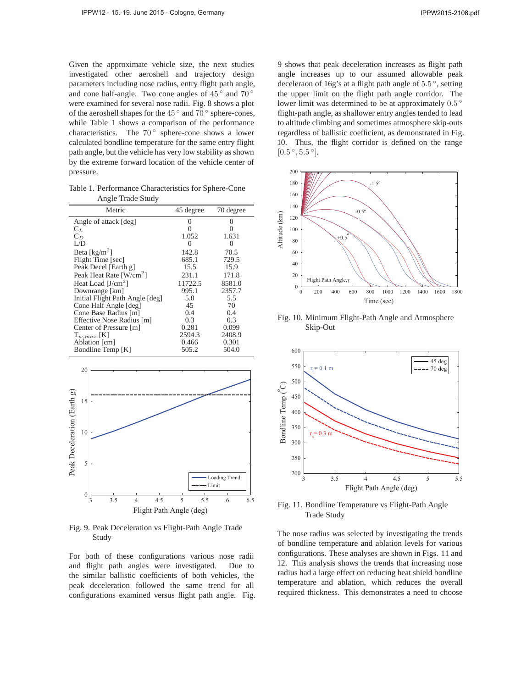Given the approximate vehicle size, the next studies investigated other aeroshell and trajectory design parameters including nose radius, entry flight path angle, and cone half-angle. Two cone angles of  $45^\circ$  and  $70^\circ$ were examined for several nose radii. Fig. 8 shows a plot of the aeroshell shapes for the 45 ◦ and 70 ◦ sphere-cones, while Table 1 shows a comparison of the performance characteristics. The  $70^{\circ}$  sphere-cone shows a lower calculated bondline temperature for the same entry flight path angle, but the vehicle has very low stability as shown by the extreme forward location of the vehicle center of pressure.

Table 1. Performance Characteristics for Sphere-Cone Angle Trade Study

| Metric                              | 45 degree    | 70 degree    |
|-------------------------------------|--------------|--------------|
| Angle of attack [deg]               | $\mathbf{0}$ | $\mathbf{0}$ |
| $C_L$                               |              |              |
| $C_D$                               | 1.052        | 1.631        |
| L/D                                 | $\Omega$     | $\Omega$     |
| Beta [ $\text{kg/m}^2$ ]            | 142.8        | 70.5         |
| Flight Time [sec]                   | 685.1        | 729.5        |
| Peak Decel [Earth g]                | 15.5         | 15.9         |
| Peak Heat Rate [W/cm <sup>2</sup> ] | 231.1        | 171.8        |
| Heat Load $[J/cm^2]$                | 11722.5      | 8581.0       |
| Downrange [km]                      | 995.1        | 2357.7       |
| Initial Flight Path Angle [deg]     | 5.0          | 5.5          |
| Cone Half Angle [deg]               | 45           | 70           |
| Cone Base Radius [m]                | 0.4          | 0.4          |
| Effective Nose Radius [m]           | 0.3          | 0.3          |
| Center of Pressure [m]              | 0.281        | 0.099        |
| $T_{w,max}$ [K]                     | 2594.3       | 2408.9       |
| Ablation [cm]                       | 0.466        | 0.301        |
| Bondline Temp [K]                   | 505.2        | 504.0        |



Fig. 9. Peak Deceleration vs Flight-Path Angle Trade Study

For both of these configurations various nose radii and flight path angles were investigated. Due to the similar ballistic coefficients of both vehicles, the peak deceleration followed the same trend for all configurations examined versus flight path angle. Fig. 9 shows that peak deceleration increases as flight path angle increases up to our assumed allowable peak deceleraon of 16g's at a flight path angle of <sup>5</sup>.<sup>5</sup> ◦, setting the upper limit on the flight path angle corridor. The lower limit was determined to be at approximately <sup>0</sup>.<sup>5</sup> ◦ flight-path angle, as shallower entry angles tended to lead to altitude climbing and sometimes atmosphere skip-outs regardless of ballistic coefficient, as demonstrated in Fig. 10. Thus, the flight corridor is defined on the range  $[0.5^{\circ}, 5.5^{\circ}].$ 



Fig. 10. Minimum Flight-Path Angle and Atmosphere Skip-Out



Fig. 11. Bondline Temperature vs Flight-Path Angle Trade Study

The nose radius was selected by investigating the trends of bondline temperature and ablation levels for various configurations. These analyses are shown in Figs. 11 and 12. This analysis shows the trends that increasing nose radius had a large effect on reducing heat shield bondline temperature and ablation, which reduces the overall required thickness. This demonstrates a need to choose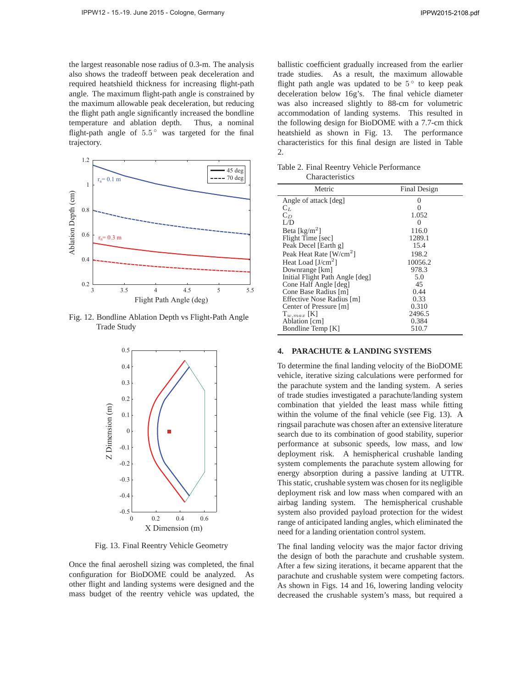the largest reasonable nose radius of 0.3-m. The analysis also shows the tradeoff between peak deceleration and required heatshield thickness for increasing flight-path angle. The maximum flight-path angle is constrained by the maximum allowable peak deceleration, but reducing the flight path angle significantly increased the bondline temperature and ablation depth. Thus, a nominal flight-path angle of  $5.5^{\circ}$  was targeted for the final trajectory.



Fig. 12. Bondline Ablation Depth vs Flight-Path Angle Trade Study



Fig. 13. Final Reentry Vehicle Geometry

Once the final aeroshell sizing was completed, the final configuration for BioDOME could be analyzed. As other flight and landing systems were designed and the mass budget of the reentry vehicle was updated, the

ballistic coefficient gradually increased from the earlier trade studies. As a result, the maximum allowable flight path angle was updated to be  $5^{\circ}$  to keep peak deceleration below 16g's. The final vehicle diameter was also increased slightly to 88-cm for volumetric accommodation of landing systems. This resulted in the following design for BioDOME with a 7.7-cm thick heatshield as shown in Fig. 13. The performance characteristics for this final design are listed in Table 2.

Table 2. Final Reentry Vehicle Performance **Characteristics** 

| Metric                              | Final Design |
|-------------------------------------|--------------|
| Angle of attack [deg]               | 0            |
| $C_L$                               | 0            |
| $C_D$                               | 1.052        |
| L/D                                 | 0            |
| Beta [ $\text{kg/m}^2$ ]            | 116.0        |
| Flight Time [sec]                   | 1289.1       |
| Peak Decel [Earth g]                | 15.4         |
| Peak Heat Rate [W/cm <sup>2</sup> ] | 198.2        |
| Heat Load $[J/cm^2]$                | 10056.2      |
| Downrange [km]                      | 978.3        |
| Initial Flight Path Angle [deg]     | 5.0          |
| Cone Half Angle [deg]               | 45           |
| Cone Base Radius [m]                | 0.44         |
| Effective Nose Radius [m]           | 0.33         |
| Center of Pressure [m]              | 0.310        |
| $T_{w,max}$ [K]                     | 2496.5       |
| Ablation [cm]                       | 0.384        |
| Bondline Temp [K]                   | 510.7        |

## **4. PARACHUTE & LANDING SYSTEMS**

To determine the final landing velocity of the BioDOME vehicle, iterative sizing calculations were performed for the parachute system and the landing system. A series of trade studies investigated a parachute/landing system combination that yielded the least mass while fitting within the volume of the final vehicle (see Fig. 13). A ringsail parachute was chosen after an extensive literature search due to its combination of good stability, superior performance at subsonic speeds, low mass, and low deployment risk. A hemispherical crushable landing system complements the parachute system allowing for energy absorption during a passive landing at UTTR. This static, crushable system was chosen for its negligible deployment risk and low mass when compared with an airbag landing system. The hemispherical crushable system also provided payload protection for the widest range of anticipated landing angles, which eliminated the need for a landing orientation control system.

The final landing velocity was the major factor driving the design of both the parachute and crushable system. After a few sizing iterations, it became apparent that the parachute and crushable system were competing factors. As shown in Figs. 14 and 16, lowering landing velocity decreased the crushable system's mass, but required a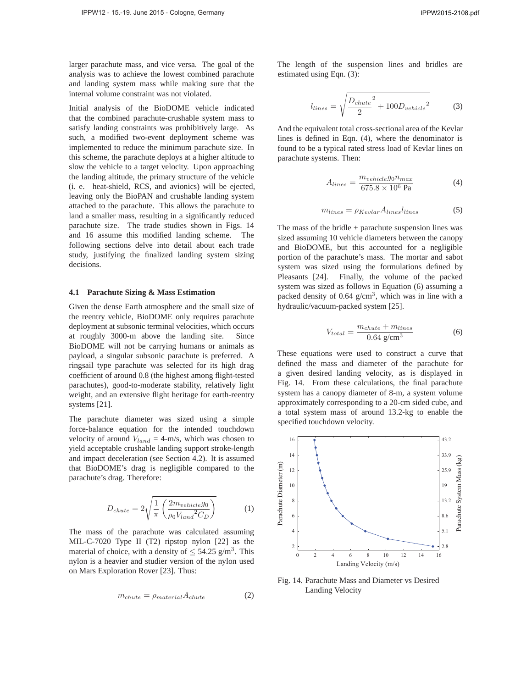larger parachute mass, and vice versa. The goal of the analysis was to achieve the lowest combined parachute and landing system mass while making sure that the internal volume constraint was not violated.

Initial analysis of the BioDOME vehicle indicated that the combined parachute-crushable system mass to satisfy landing constraints was prohibitively large. As such, a modified two-event deployment scheme was implemented to reduce the minimum parachute size. In this scheme, the parachute deploys at a higher altitude to slow the vehicle to a target velocity. Upon approaching the landing altitude, the primary structure of the vehicle (i. e. heat-shield, RCS, and avionics) will be ejected, leaving only the BioPAN and crushable landing system attached to the parachute. This allows the parachute to land a smaller mass, resulting in a significantly reduced parachute size. The trade studies shown in Figs. 14 and 16 assume this modified landing scheme. The following sections delve into detail about each trade study, justifying the finalized landing system sizing decisions.

#### **4.1 Parachute Sizing & Mass Estimation**

Given the dense Earth atmosphere and the small size of the reentry vehicle, BioDOME only requires parachute deployment at subsonic terminal velocities, which occurs at roughly 3000-m above the landing site. Since BioDOME will not be carrying humans or animals as payload, a singular subsonic parachute is preferred. A ringsail type parachute was selected for its high drag coefficient of around 0.8 (the highest among flight-tested parachutes), good-to-moderate stability, relatively light weight, and an extensive flight heritage for earth-reentry systems [21].

The parachute diameter was sized using a simple force-balance equation for the intended touchdown velocity of around  $V_{land} = 4$ -m/s, which was chosen to yield acceptable crushable landing support stroke-length and impact deceleration (see Section 4.2). It is assumed that BioDOME's drag is negligible compared to the parachute's drag. Therefore:

$$
D_{chute} = 2\sqrt{\frac{1}{\pi} \left(\frac{2m_{vehicle}g_0}{\rho_0 V_{land}^2 C_D}\right)}
$$
 (1)

The mass of the parachute was calculated assuming MIL-C-7020 Type II (T2) ripstop nylon [22] as the material of choice, with a density of  $\leq 54.25$  g/m<sup>3</sup>. This nylon is a heavier and studier version of the nylon used on Mars Exploration Rover [23]. Thus:

$$
m_{chute} = \rho_{material} A_{chute} \tag{2}
$$

The length of the suspension lines and bridles are estimated using Eqn. (3):

$$
l_{lines} = \sqrt{\frac{D_{chute}^2}{2} + 100 D_{vehicle}^2}
$$
 (3)

And the equivalent total cross-sectional area of the Kevlar lines is defined in Eqn. (4), where the denominator is found to be a typical rated stress load of Kevlar lines on parachute systems. Then:

$$
A_{lines} = \frac{m_{vehicle} g_0 n_{max}}{675.8 \times 10^6 \text{ Pa}} \tag{4}
$$

$$
m_{lines} = \rho_{Keular} A_{lines} l_{lines} \tag{5}
$$

The mass of the bridle  $+$  parachute suspension lines was sized assuming 10 vehicle diameters between the canopy and BioDOME, but this accounted for a negligible portion of the parachute's mass. The mortar and sabot system was sized using the formulations defined by Pleasants [24]. Finally, the volume of the packed system was sized as follows in Equation (6) assuming a packed density of  $0.64$  g/cm<sup>3</sup>, which was in line with a hydraulic/vacuum-packed system [25].

$$
V_{total} = \frac{m_{chute} + m_{lines}}{0.64 \text{ g/cm}^3}
$$
 (6)

These equations were used to construct a curve that defined the mass and diameter of the parachute for a given desired landing velocity, as is displayed in Fig. 14. From these calculations, the final parachute system has a canopy diameter of 8-m, a system volume approximately corresponding to a 20-cm sided cube, and a total system mass of around 13.2-kg to enable the specified touchdown velocity.



Fig. 14. Parachute Mass and Diameter vs Desired Landing Velocity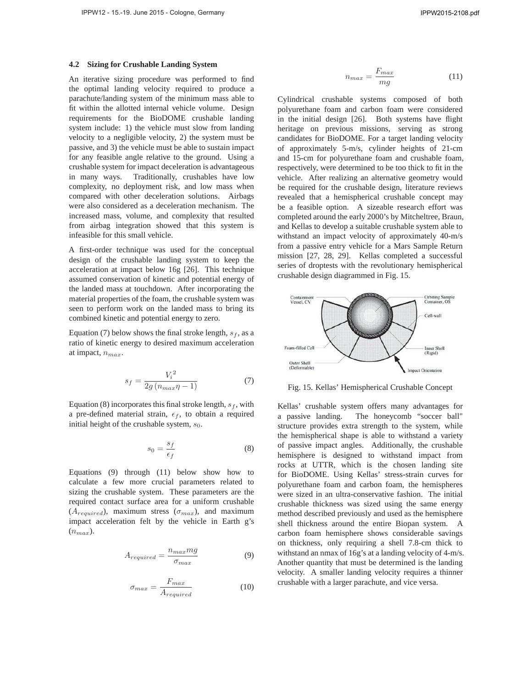#### **4.2 Sizing for Crushable Landing System**

An iterative sizing procedure was performed to find the optimal landing velocity required to produce a parachute/landing system of the minimum mass able to fit within the allotted internal vehicle volume. Design requirements for the BioDOME crushable landing system include: 1) the vehicle must slow from landing velocity to a negligible velocity, 2) the system must be passive, and 3) the vehicle must be able to sustain impact for any feasible angle relative to the ground. Using a crushable system for impact deceleration is advantageous in many ways. Traditionally, crushables have low complexity, no deployment risk, and low mass when compared with other deceleration solutions. Airbags were also considered as a deceleration mechanism. The increased mass, volume, and complexity that resulted from airbag integration showed that this system is infeasible for this small vehicle.

A first-order technique was used for the conceptual design of the crushable landing system to keep the acceleration at impact below 16g [26]. This technique assumed conservation of kinetic and potential energy of the landed mass at touchdown. After incorporating the material properties of the foam, the crushable system was seen to perform work on the landed mass to bring its combined kinetic and potential energy to zero.

Equation (7) below shows the final stroke length,  $s_f$ , as a ratio of kinetic energy to desired maximum acceleration at impact,  $n_{max}$ .

$$
s_f = \frac{V_i^2}{2g\left(n_{max}\eta - 1\right)}\tag{7}
$$

Equation (8) incorporates this final stroke length,  $s_f$ , with a pre-defined material strain,  $\epsilon_f$ , to obtain a required initial height of the crushable system,  $s_0$ .

$$
s_0 = \frac{s_f}{\epsilon_f} \tag{8}
$$

Equations (9) through (11) below show how to calculate a few more crucial parameters related to sizing the crushable system. These parameters are the required contact surface area for a uniform crushable  $(A_{required})$ , maximum stress  $(\sigma_{max})$ , and maximum impact acceleration felt by the vehicle in Earth g's  $(n_{max})$ .

$$
A_{required} = \frac{n_{max}mg}{\sigma_{max}} \tag{9}
$$

$$
\sigma_{max} = \frac{F_{max}}{A_{required}} \tag{10}
$$

$$
n_{max} = \frac{F_{max}}{mg} \tag{11}
$$

Cylindrical crushable systems composed of both polyurethane foam and carbon foam were considered in the initial design [26]. Both systems have flight heritage on previous missions, serving as strong candidates for BioDOME. For a target landing velocity of approximately 5-m/s, cylinder heights of 21-cm and 15-cm for polyurethane foam and crushable foam, respectively, were determined to be too thick to fit in the vehicle. After realizing an alternative geometry would be required for the crushable design, literature reviews revealed that a hemispherical crushable concept may be a feasible option. A sizeable research effort was completed around the early 2000's by Mitcheltree, Braun, and Kellas to develop a suitable crushable system able to withstand an impact velocity of approximately 40-m/s from a passive entry vehicle for a Mars Sample Return mission [27, 28, 29]. Kellas completed a successful series of droptests with the revolutionary hemispherical crushable design diagrammed in Fig. 15.



Fig. 15. Kellas' Hemispherical Crushable Concept

Kellas' crushable system offers many advantages for a passive landing. The honeycomb "soccer ball" structure provides extra strength to the system, while the hemispherical shape is able to withstand a variety of passive impact angles. Additionally, the crushable hemisphere is designed to withstand impact from rocks at UTTR, which is the chosen landing site for BioDOME. Using Kellas' stress-strain curves for polyurethane foam and carbon foam, the hemispheres were sized in an ultra-conservative fashion. The initial crushable thickness was sized using the same energy method described previously and used as the hemisphere shell thickness around the entire Biopan system. A carbon foam hemisphere shows considerable savings on thickness, only requiring a shell 7.8-cm thick to withstand an nmax of 16g's at a landing velocity of 4-m/s. Another quantity that must be determined is the landing velocity. A smaller landing velocity requires a thinner crushable with a larger parachute, and vice versa.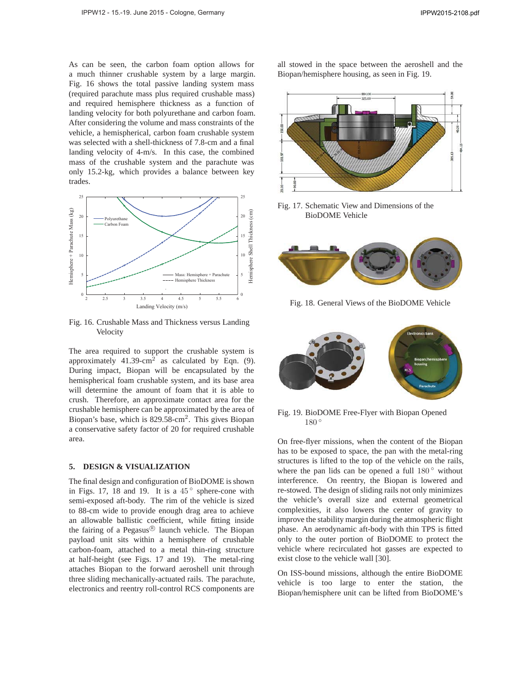As can be seen, the carbon foam option allows for a much thinner crushable system by a large margin. Fig. 16 shows the total passive landing system mass (required parachute mass plus required crushable mass) and required hemisphere thickness as a function of landing velocity for both polyurethane and carbon foam. After considering the volume and mass constraints of the vehicle, a hemispherical, carbon foam crushable system was selected with a shell-thickness of 7.8-cm and a final landing velocity of 4-m/s. In this case, the combined mass of the crushable system and the parachute was only 15.2-kg, which provides a balance between key trades.



Fig. 16. Crushable Mass and Thickness versus Landing **Velocity** 

The area required to support the crushable system is approximately  $41.39 \text{-cm}^2$  as calculated by Eqn. (9). During impact, Biopan will be encapsulated by the hemispherical foam crushable system, and its base area will determine the amount of foam that it is able to crush. Therefore, an approximate contact area for the crushable hemisphere can be approximated by the area of Biopan's base, which is  $829.58\text{-cm}^2$ . This gives Biopan a conservative safety factor of 20 for required crushable area.

### **5. DESIGN & VISUALIZATION**

The final design and configuration of BioDOME is shown in Figs. 17, 18 and 19. It is a  $45^{\circ}$  sphere-cone with semi-exposed aft-body. The rim of the vehicle is sized to 88-cm wide to provide enough drag area to achieve an allowable ballistic coefficient, while fitting inside the fairing of a Pegasus $\mathcal{B}$  launch vehicle. The Biopan payload unit sits within a hemisphere of crushable carbon-foam, attached to a metal thin-ring structure at half-height (see Figs. 17 and 19). The metal-ring attaches Biopan to the forward aeroshell unit through three sliding mechanically-actuated rails. The parachute, electronics and reentry roll-control RCS components are

all stowed in the space between the aeroshell and the Biopan/hemisphere housing, as seen in Fig. 19.



Fig. 17. Schematic View and Dimensions of the BioDOME Vehicle



Fig. 18. General Views of the BioDOME Vehicle



Fig. 19. BioDOME Free-Flyer with Biopan Opened 180°

On free-flyer missions, when the content of the Biopan has to be exposed to space, the pan with the metal-ring structures is lifted to the top of the vehicle on the rails, where the pan lids can be opened a full  $180°$  without interference. On reentry, the Biopan is lowered and re-stowed. The design of sliding rails not only minimizes the vehicle's overall size and external geometrical complexities, it also lowers the center of gravity to improve the stability margin during the atmospheric flight phase. An aerodynamic aft-body with thin TPS is fitted only to the outer portion of BioDOME to protect the vehicle where recirculated hot gasses are expected to exist close to the vehicle wall [30].

On ISS-bound missions, although the entire BioDOME vehicle is too large to enter the station, the Biopan/hemisphere unit can be lifted from BioDOME's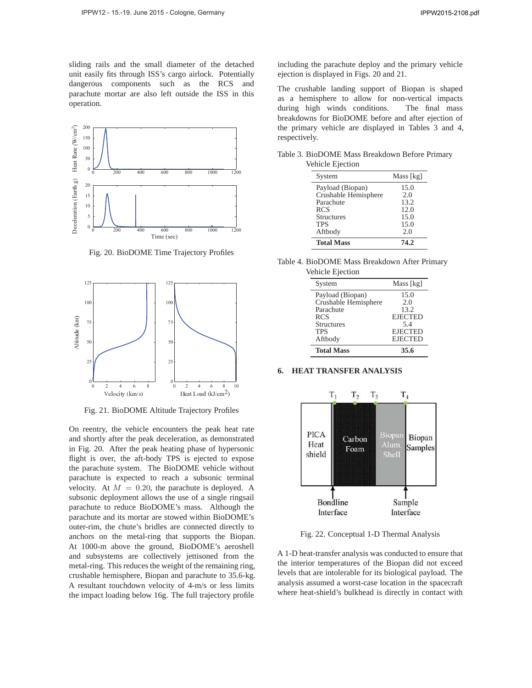sliding rails and the small diameter of the detached unit easily fits through ISS's cargo airlock. Potentially dangerous components such as the RCS and parachute mortar are also left outside the ISS in this operation.



Fig. 20. BioDOME Time Trajectory Profiles



Fig. 21. BioDOME Altitude Trajectory Profiles

On reentry, the vehicle encounters the peak heat rate and shortly after the peak deceleration, as demonstrated in Fig. 20. After the peak heating phase of hypersonic flight is over, the aft-body TPS is ejected to expose the parachute system. The BioDOME vehicle without parachute is expected to reach a subsonic terminal velocity. At  $M = 0.20$ , the parachute is deployed. A subsonic deployment allows the use of a single ringsail parachute to reduce BioDOME's mass. Although the parachute and its mortar are stowed within BioDOME's outer-rim, the chute's bridles are connected directly to anchors on the metal-ring that supports the Biopan. At 1000-m above the ground, BioDOME's aeroshell and subsystems are collectively jettisoned from the metal-ring. This reduces the weight of the remaining ring, crushable hemisphere, Biopan and parachute to 35.6-kg. A resultant touchdown velocity of 4-m/s or less limits the impact loading below 16g. The full trajectory profile including the parachute deploy and the primary vehicle ejection is displayed in Figs. 20 and 21.

The crushable landing support of Biopan is shaped as a hemisphere to allow for non-vertical impacts during high winds conditions. The final mass breakdowns for BioDOME before and after ejection of the primary vehicle are displayed in Tables 3 and 4, respectively.

Table 3. BioDOME Mass Breakdown Before Primary Vehicle Ejection

| System               | Mass [kg] |
|----------------------|-----------|
| Payload (Biopan)     | 15.0      |
| Crushable Hemisphere | 2.0       |
| Parachute            | 13.2      |
| <b>RCS</b>           | 12.0      |
| <b>Structures</b>    | 15.0      |
| <b>TPS</b>           | 15.0      |
| Aftbody              | 2.0       |
| <b>Total Mass</b>    | 74.2      |

Table 4. BioDOME Mass Breakdown After Primary Vehicle Ejection

| 13.2<br><b>EJECTED</b><br>5.4<br><b>EJECTED</b><br><b>EJECTED</b> |
|-------------------------------------------------------------------|
|                                                                   |
|                                                                   |
|                                                                   |
|                                                                   |
|                                                                   |
| 2.0                                                               |
| 15.0                                                              |
| Mass [kg]                                                         |
|                                                                   |

# **6. HEAT TRANSFER ANALYSIS**



Fig. 22. Conceptual 1-D Thermal Analysis

A 1-D heat-transfer analysis was conducted to ensure that the interior temperatures of the Biopan did not exceed levels that are intolerable for its biological payload. The analysis assumed a worst-case location in the spacecraft where heat-shield's bulkhead is directly in contact with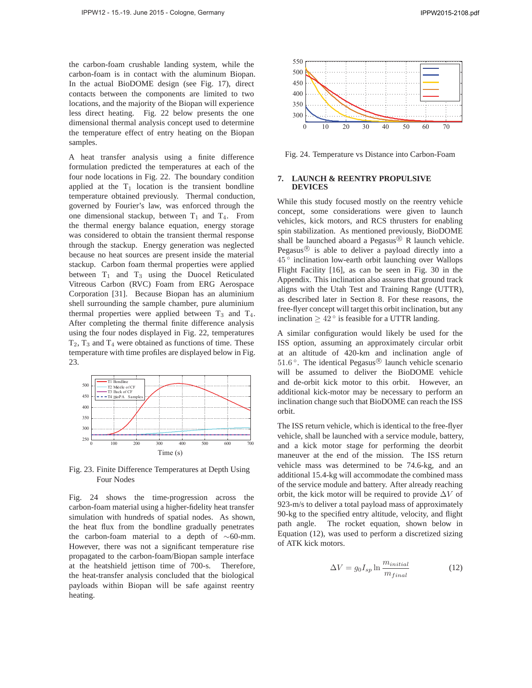the carbon-foam crushable landing system, while the carbon-foam is in contact with the aluminum Biopan. In the actual BioDOME design (see Fig. 17), direct contacts between the components are limited to two locations, and the majority of the Biopan will experience less direct heating. Fig. 22 below presents the one dimensional thermal analysis concept used to determine the temperature effect of entry heating on the Biopan samples.

A heat transfer analysis using a finite difference formulation predicted the temperatures at each of the four node locations in Fig. 22. The boundary condition applied at the  $T_1$  location is the transient bondline temperature obtained previously. Thermal conduction, governed by Fourier's law, was enforced through the one dimensional stackup, between  $T_1$  and  $T_4$ . From the thermal energy balance equation, energy storage was considered to obtain the transient thermal response through the stackup. Energy generation was neglected because no heat sources are present inside the material stackup. Carbon foam thermal properties were applied between  $T_1$  and  $T_3$  using the Duocel Reticulated Vitreous Carbon (RVC) Foam from ERG Aerospace Corporation [31]. Because Biopan has an aluminium shell surrounding the sample chamber, pure aluminium thermal properties were applied between  $T_3$  and  $T_4$ . After completing the thermal finite difference analysis using the four nodes displayed in Fig. 22, temperatures  $T_2$ ,  $T_3$  and  $T_4$  were obtained as functions of time. These temperature with time profiles are displayed below in Fig. 23.



Fig. 23. Finite Difference Temperatures at Depth Using Four Nodes

Fig. 24 shows the time-progression across the carbon-foam material using a higher-fidelity heat transfer simulation with hundreds of spatial nodes. As shown, the heat flux from the bondline gradually penetrates the carbon-foam material to a depth of ∼60-mm. However, there was not a significant temperature rise propagated to the carbon-foam/Biopan sample interface at the heatshield jettison time of 700-s. Therefore, the heat-transfer analysis concluded that the biological payloads within Biopan will be safe against reentry heating.



Fig. 24. Temperature vs Distance into Carbon-Foam

### **7. LAUNCH & REENTRY PROPULSIVE DEVICES**

While this study focused mostly on the reentry vehicle concept, some considerations were given to launch vehicles, kick motors, and RCS thrusters for enabling spin stabilization. As mentioned previously, BioDOME shall be launched aboard a Pegasus<sup>®</sup> R launch vehicle. Pegasus<sup>®</sup> is able to deliver a payload directly into a 45 ◦ inclination low-earth orbit launching over Wallops Flight Facility [16], as can be seen in Fig. 30 in the Appendix. This inclination also assures that ground track aligns with the Utah Test and Training Range (UTTR), as described later in Section 8. For these reasons, the free-flyer concept will target this orbit inclination, but any inclination  $> 42^\circ$  is feasible for a UTTR landing.

A similar configuration would likely be used for the ISS option, assuming an approximately circular orbit at an altitude of 420-km and inclination angle of 51.6 $\degree$ . The identical Pegasus $\degree$  launch vehicle scenario will be assumed to deliver the BioDOME vehicle and de-orbit kick motor to this orbit. However, an additional kick-motor may be necessary to perform an inclination change such that BioDOME can reach the ISS orbit.

The ISS return vehicle, which is identical to the free-flyer vehicle, shall be launched with a service module, battery, and a kick motor stage for performing the deorbit maneuver at the end of the mission. The ISS return vehicle mass was determined to be 74.6-kg, and an additional 15.4-kg will accommodate the combined mass of the service module and battery. After already reaching orbit, the kick motor will be required to provide  $\Delta V$  of 923-m/s to deliver a total payload mass of approximately 90-kg to the specified entry altitude, velocity, and flight path angle. The rocket equation, shown below in Equation (12), was used to perform a discretized sizing of ATK kick motors.

$$
\Delta V = g_0 I_{sp} \ln \frac{m_{initial}}{m_{final}} \tag{12}
$$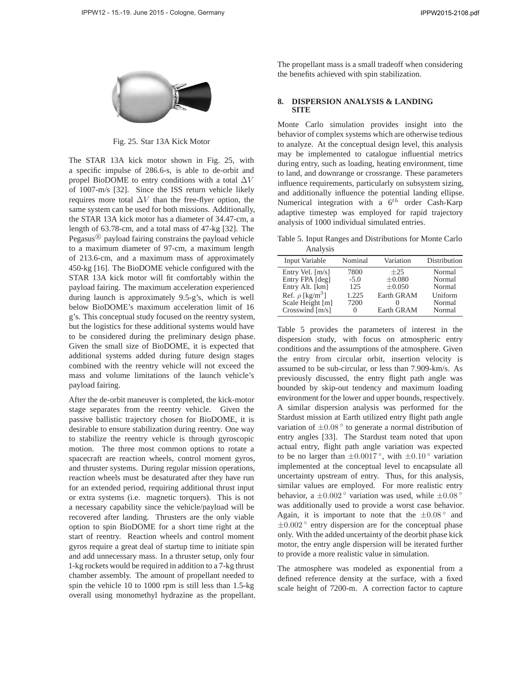

Fig. 25. Star 13A Kick Motor

The STAR 13A kick motor shown in Fig. 25, with a specific impulse of 286.6-s, is able to de-orbit and propel BioDOME to entry conditions with a total  $\Delta V$ of 1007-m/s [32]. Since the ISS return vehicle likely requires more total  $\Delta V$  than the free-flyer option, the same system can be used for both missions. Additionally, the STAR 13A kick motor has a diameter of 34.47-cm, a length of 63.78-cm, and a total mass of 47-kg [32]. The Pegasus $\mathcal{B}$  payload fairing constrains the payload vehicle to a maximum diameter of 97-cm, a maximum length of 213.6-cm, and a maximum mass of approximately 450-kg [16]. The BioDOME vehicle configured with the STAR 13A kick motor will fit comfortably within the payload fairing. The maximum acceleration experienced during launch is approximately 9.5-g's, which is well below BioDOME's maximum acceleration limit of 16 g's. This conceptual study focused on the reentry system, but the logistics for these additional systems would have to be considered during the preliminary design phase. Given the small size of BioDOME, it is expected that additional systems added during future design stages combined with the reentry vehicle will not exceed the mass and volume limitations of the launch vehicle's payload fairing.

After the de-orbit maneuver is completed, the kick-motor stage separates from the reentry vehicle. Given the passive ballistic trajectory chosen for BioDOME, it is desirable to ensure stabilization during reentry. One way to stabilize the reentry vehicle is through gyroscopic motion. The three most common options to rotate a spacecraft are reaction wheels, control moment gyros, and thruster systems. During regular mission operations, reaction wheels must be desaturated after they have run for an extended period, requiring additional thrust input or extra systems (i.e. magnetic torquers). This is not a necessary capability since the vehicle/payload will be recovered after landing. Thrusters are the only viable option to spin BioDOME for a short time right at the start of reentry. Reaction wheels and control moment gyros require a great deal of startup time to initiate spin and add unnecessary mass. In a thruster setup, only four 1-kg rockets would be required in addition to a 7-kg thrust chamber assembly. The amount of propellant needed to spin the vehicle 10 to 1000 rpm is still less than 1.5-kg overall using monomethyl hydrazine as the propellant. The propellant mass is a small tradeoff when considering the benefits achieved with spin stabilization.

## **8. DISPERSION ANALYSIS & LANDING SITE**

Monte Carlo simulation provides insight into the behavior of complex systems which are otherwise tedious to analyze. At the conceptual design level, this analysis may be implemented to catalogue influential metrics during entry, such as loading, heating environment, time to land, and downrange or crossrange. These parameters influence requirements, particularly on subsystem sizing, and additionally influence the potential landing ellipse. Numerical integration with a  $6^{th}$  order Cash-Karp adaptive timestep was employed for rapid trajectory analysis of 1000 individual simulated entries.

Table 5. Input Ranges and Distributions for Monte Carlo Analysis

| Input Variable                   | Nominal       | Variation   | Distribution |
|----------------------------------|---------------|-------------|--------------|
| Entry Vel. $[m/s]$               | 7800          | $+25$       | Normal       |
| Entry FPA [deg]                  | $-5.0$        | $\pm 0.080$ | Normal       |
| Entry Alt. [km]                  | 125           | $\pm 0.050$ | Normal       |
| Ref. $\rho$ [kg/m <sup>3</sup> ] | 1.225         | Earth GRAM  | Uniform      |
| Scale Height [m]                 | 7200          |             | Normal       |
| Crosswind $[m/s]$                | $\mathcal{L}$ | Earth GRAM  | Normal       |

Table 5 provides the parameters of interest in the dispersion study, with focus on atmospheric entry conditions and the assumptions of the atmosphere. Given the entry from circular orbit, insertion velocity is assumed to be sub-circular, or less than 7.909-km/s. As previously discussed, the entry flight path angle was bounded by skip-out tendency and maximum loading environment for the lower and upper bounds, respectively. A similar dispersion analysis was performed for the Stardust mission at Earth utilized entry flight path angle variation of  $\pm 0.08$  ° to generate a normal distribution of entry angles [33]. The Stardust team noted that upon actual entry, flight path angle variation was expected to be no larger than  $\pm 0.0017$ °, with  $\pm 0.10$ ° variation implemented at the conceptual level to encapsulate all uncertainty upstream of entry. Thus, for this analysis, similar values are employed. For more realistic entry behavior, a  $\pm 0.002$  ° variation was used, while  $\pm 0.08$  ° was additionally used to provide a worst case behavior. Again, it is important to note that the  $\pm 0.08$ ° and  $\pm 0.002$ <sup>°</sup> entry dispersion are for the conceptual phase only. With the added uncertainty of the deorbit phase kick motor, the entry angle dispersion will be iterated further to provide a more realistic value in simulation.

The atmosphere was modeled as exponential from a defined reference density at the surface, with a fixed scale height of 7200-m. A correction factor to capture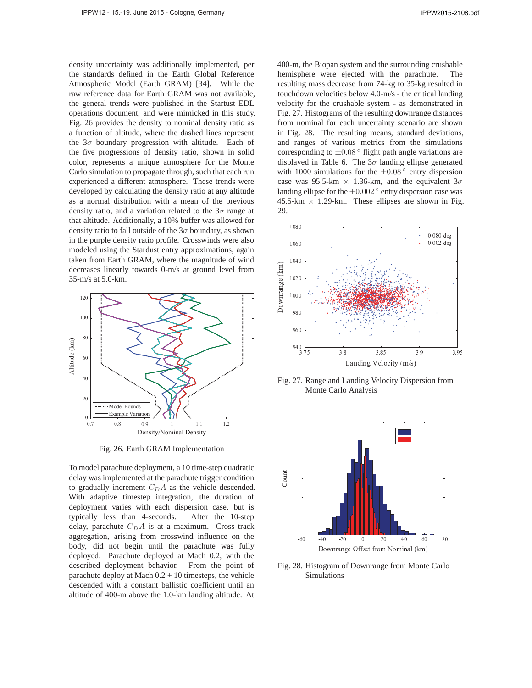density uncertainty was additionally implemented, per the standards defined in the Earth Global Reference Atmospheric Model (Earth GRAM) [34]. While the raw reference data for Earth GRAM was not available, the general trends were published in the Startust EDL operations document, and were mimicked in this study. Fig. 26 provides the density to nominal density ratio as a function of altitude, where the dashed lines represent the  $3\sigma$  boundary progression with altitude. Each of the five progressions of density ratio, shown in solid color, represents a unique atmosphere for the Monte Carlo simulation to propagate through, such that each run experienced a different atmosphere. These trends were developed by calculating the density ratio at any altitude as a normal distribution with a mean of the previous density ratio, and a variation related to the  $3\sigma$  range at that altitude. Additionally, a 10% buffer was allowed for density ratio to fall outside of the  $3\sigma$  boundary, as shown in the purple density ratio profile. Crosswinds were also modeled using the Stardust entry approximations, again taken from Earth GRAM, where the magnitude of wind decreases linearly towards 0-m/s at ground level from 35-m/s at 5.0-km.



Fig. 26. Earth GRAM Implementation

To model parachute deployment, a 10 time-step quadratic delay was implemented at the parachute trigger condition to gradually increment  $C<sub>D</sub>A$  as the vehicle descended. With adaptive timestep integration, the duration of deployment varies with each dispersion case, but is typically less than 4-seconds. After the 10-step delay, parachute  $C<sub>D</sub>A$  is at a maximum. Cross track aggregation, arising from crosswind influence on the body, did not begin until the parachute was fully deployed. Parachute deployed at Mach 0.2, with the described deployment behavior. From the point of parachute deploy at Mach  $0.2 + 10$  timesteps, the vehicle descended with a constant ballistic coefficient until an altitude of 400-m above the 1.0-km landing altitude. At

400-m, the Biopan system and the surrounding crushable hemisphere were ejected with the parachute. The resulting mass decrease from 74-kg to 35-kg resulted in touchdown velocities below 4.0-m/s - the critical landing velocity for the crushable system - as demonstrated in Fig. 27. Histograms of the resulting downrange distances from nominal for each uncertainty scenario are shown in Fig. 28. The resulting means, standard deviations, and ranges of various metrics from the simulations corresponding to  $\pm 0.08$   $\degree$  flight path angle variations are displayed in Table 6. The  $3\sigma$  landing ellipse generated with 1000 simulations for the  $\pm 0.08$ <sup>°</sup> entry dispersion case was 95.5-km  $\times$  1.36-km, and the equivalent  $3\sigma$ landing ellipse for the  $\pm 0.002$   $\degree$  entry dispersion case was 45.5-km  $\times$  1.29-km. These ellipses are shown in Fig. 29.



Fig. 27. Range and Landing Velocity Dispersion from Monte Carlo Analysis



Fig. 28. Histogram of Downrange from Monte Carlo Simulations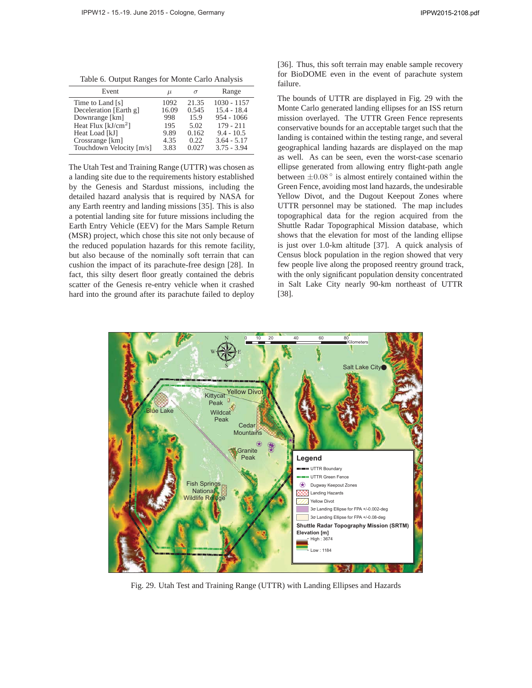Table 6. Output Ranges for Monte Carlo Analysis

| Event                                      | $\mu$         | $\sigma$       | Range                          |
|--------------------------------------------|---------------|----------------|--------------------------------|
| Time to Land [s]<br>Deceleration [Earth g] | 1092<br>16.09 | 21.35<br>0.545 | $1030 - 1157$<br>$15.4 - 18.4$ |
| Downrange [km]                             | 998           | 15.9           | $954 - 1066$                   |
| Heat Flux [ $kJ/cm2$ ]                     | 195           | 5.02           | $179 - 211$                    |
| Heat Load [kJ]                             | 9.89          | 0.162          | $9.4 - 10.5$                   |
| Crossrange [km]                            | 4.35          | 0.22.          | $3.64 - 5.17$                  |
| Touchdown Velocity [m/s]                   | 3.83          | 0.027          | $3.75 - 3.94$                  |

The Utah Test and Training Range (UTTR) was chosen as a landing site due to the requirements history established by the Genesis and Stardust missions, including the detailed hazard analysis that is required by NASA for any Earth reentry and landing missions [35]. This is also a potential landing site for future missions including the Earth Entry Vehicle (EEV) for the Mars Sample Return (MSR) project, which chose this site not only because of the reduced population hazards for this remote facility, but also because of the nominally soft terrain that can cushion the impact of its parachute-free design [28]. In fact, this silty desert floor greatly contained the debris scatter of the Genesis re-entry vehicle when it crashed hard into the ground after its parachute failed to deploy

[36]. Thus, this soft terrain may enable sample recovery for BioDOME even in the event of parachute system failure.

The bounds of UTTR are displayed in Fig. 29 with the Monte Carlo generated landing ellipses for an ISS return mission overlayed. The UTTR Green Fence represents conservative bounds for an acceptable target such that the landing is contained within the testing range, and several geographical landing hazards are displayed on the map as well. As can be seen, even the worst-case scenario ellipse generated from allowing entry flight-path angle between  $\pm 0.08$ ° is almost entirely contained within the Green Fence, avoiding most land hazards, the undesirable Yellow Divot, and the Dugout Keepout Zones where UTTR personnel may be stationed. The map includes topographical data for the region acquired from the Shuttle Radar Topographical Mission database, which shows that the elevation for most of the landing ellipse is just over 1.0-km altitude [37]. A quick analysis of Census block population in the region showed that very few people live along the proposed reentry ground track, with the only significant population density concentrated in Salt Lake City nearly 90-km northeast of UTTR [38].



Fig. 29. Utah Test and Training Range (UTTR) with Landing Ellipses and Hazards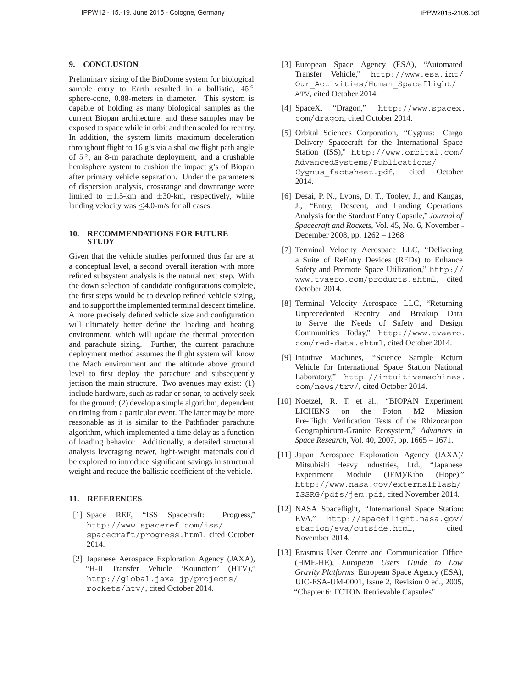## **9. CONCLUSION**

Preliminary sizing of the BioDome system for biological sample entry to Earth resulted in a ballistic,  $45^\circ$ sphere-cone, 0.88-meters in diameter. This system is capable of holding as many biological samples as the current Biopan architecture, and these samples may be exposed to space while in orbit and then sealed for reentry. In addition, the system limits maximum deceleration throughout flight to 16 g's via a shallow flight path angle of 5 ◦, an 8-m parachute deployment, and a crushable hemisphere system to cushion the impact g's of Biopan after primary vehicle separation. Under the parameters of dispersion analysis, crossrange and downrange were limited to  $\pm 1.5$ -km and  $\pm 30$ -km, respectively, while landing velocity was  $\leq$ 4.0-m/s for all cases.

#### **10. RECOMMENDATIONS FOR FUTURE STUDY**

Given that the vehicle studies performed thus far are at a conceptual level, a second overall iteration with more refined subsystem analysis is the natural next step. With the down selection of candidate configurations complete, the first steps would be to develop refined vehicle sizing, and to support the implemented terminal descent timeline. A more precisely defined vehicle size and configuration will ultimately better define the loading and heating environment, which will update the thermal protection and parachute sizing. Further, the current parachute deployment method assumes the flight system will know the Mach environment and the altitude above ground level to first deploy the parachute and subsequently jettison the main structure. Two avenues may exist: (1) include hardware, such as radar or sonar, to actively seek for the ground; (2) develop a simple algorithm, dependent on timing from a particular event. The latter may be more reasonable as it is similar to the Pathfinder parachute algorithm, which implemented a time delay as a function of loading behavior. Additionally, a detailed structural analysis leveraging newer, light-weight materials could be explored to introduce significant savings in structural weight and reduce the ballistic coefficient of the vehicle.

### **11. REFERENCES**

- [1] Space REF, "ISS Spacecraft: Progress," http://www.spaceref.com/iss/ spacecraft/progress.html, cited October 2014.
- [2] Japanese Aerospace Exploration Agency (JAXA), "H-II Transfer Vehicle 'Kounotori' (HTV)," http://global.jaxa.jp/projects/ rockets/htv/, cited October 2014.
- [3] European Space Agency (ESA), "Automated Transfer Vehicle," http://www.esa.int/ Our Activities/Human Spaceflight/ ATV, cited October 2014.
- [4] SpaceX, "Dragon," http://www.spacex. com/dragon, cited October 2014.
- [5] Orbital Sciences Corporation, "Cygnus: Cargo Delivery Spacecraft for the International Space Station (ISS)," http://www.orbital.com/ AdvancedSystems/Publications/ Cygnus\_factsheet.pdf, cited October 2014.
- [6] Desai, P. N., Lyons, D. T., Tooley, J., and Kangas, J., "Entry, Descent, and Landing Operations Analysis for the Stardust Entry Capsule," *Journal of Spacecraft and Rockets*, Vol. 45, No. 6, November - December 2008, pp. 1262 – 1268.
- [7] Terminal Velocity Aerospace LLC, "Delivering a Suite of ReEntry Devices (REDs) to Enhance Safety and Promote Space Utilization," http:// www.tvaero.com/products.shtml, cited October 2014.
- [8] Terminal Velocity Aerospace LLC, "Returning Unprecedented Reentry and Breakup Data to Serve the Needs of Safety and Design Communities Today," http://www.tvaero. com/red-data.shtml, cited October 2014.
- [9] Intuitive Machines, "Science Sample Return Vehicle for International Space Station National Laboratory," http://intuitivemachines. com/news/trv/, cited October 2014.
- [10] Noetzel, R. T. et al., "BIOPAN Experiment LICHENS on the Foton M2 Mission Pre-Flight Verification Tests of the Rhizocarpon Geographicum-Granite Ecosystem," *Advances in Space Research*, Vol. 40, 2007, pp. 1665 – 1671.
- [11] Japan Aerospace Exploration Agency (JAXA)/ Mitsubishi Heavy Industries, Ltd., "Japanese Experiment Module (JEM)/Kibo (Hope)," http://www.nasa.gov/externalflash/ ISSRG/pdfs/jem.pdf, cited November 2014.
- [12] NASA Spaceflight, "International Space Station: EVA," http://spaceflight.nasa.gov/ station/eva/outside.html, cited November 2014.
- [13] Erasmus User Centre and Communication Office (HME-HE), *European Users Guide to Low Gravity Platforms*, European Space Agency (ESA), UIC-ESA-UM-0001, Issue 2, Revision 0 ed., 2005, "Chapter 6: FOTON Retrievable Capsules".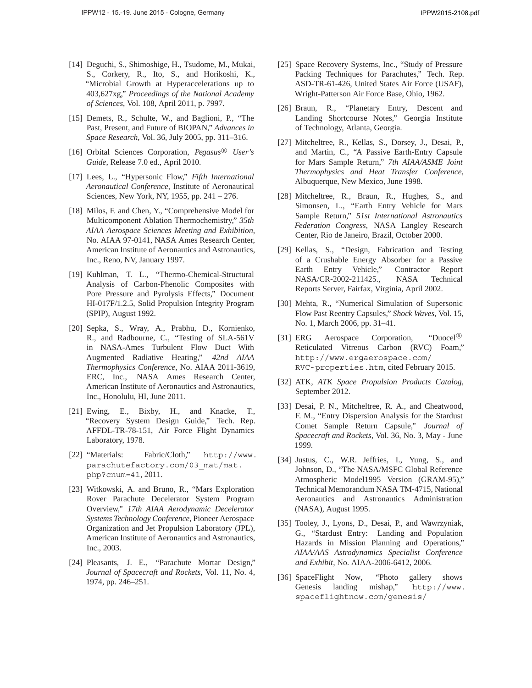- [14] Deguchi, S., Shimoshige, H., Tsudome, M., Mukai, S., Corkery, R., Ito, S., and Horikoshi, K., "Microbial Growth at Hyperaccelerations up to 403,627xg," *Proceedings of the National Academy of Sciences*, Vol. 108, April 2011, p. 7997.
- [15] Demets, R., Schulte, W., and Baglioni, P., "The Past, Present, and Future of BIOPAN," *Advances in Space Research*, Vol. 36, July 2005, pp. 311–316.
- [16] Orbital Sciences Corporation, Pegasus<sup>®</sup> User's *Guide*, Release 7.0 ed., April 2010.
- [17] Lees, L., "Hypersonic Flow," *Fifth International Aeronautical Conference*, Institute of Aeronautical Sciences, New York, NY, 1955, pp. 241 – 276.
- [18] Milos, F. and Chen, Y., "Comprehensive Model for Multicomponent Ablation Thermochemistry," *35th AIAA Aerospace Sciences Meeting and Exhibition*, No. AIAA 97-0141, NASA Ames Research Center, American Institute of Aeronautics and Astronautics, Inc., Reno, NV, January 1997.
- [19] Kuhlman, T. L., "Thermo-Chemical-Structural Analysis of Carbon-Phenolic Composites with Pore Pressure and Pyrolysis Effects," Document HI-017F/1.2.5, Solid Propulsion Integrity Program (SPIP), August 1992.
- [20] Sepka, S., Wray, A., Prabhu, D., Kornienko, R., and Radbourne, C., "Testing of SLA-561V in NASA-Ames Turbulent Flow Duct With Augmented Radiative Heating," *42nd AIAA Thermophysics Conference*, No. AIAA 2011-3619, ERC, Inc., NASA Ames Research Center, American Institute of Aeronautics and Astronautics, Inc., Honolulu, HI, June 2011.
- [21] Ewing, E., Bixby, H., and Knacke, T., "Recovery System Design Guide," Tech. Rep. AFFDL-TR-78-151, Air Force Flight Dynamics Laboratory, 1978.
- [22] "Materials: Fabric/Cloth," http://www. parachutefactory.com/03\_mat/mat. php?cnum=41, 2011.
- [23] Witkowski, A. and Bruno, R., "Mars Exploration Rover Parachute Decelerator System Program Overview," *17th AIAA Aerodynamic Decelerator Systems Technology Conference*, Pioneer Aerospace Organization and Jet Propulsion Laboratory (JPL), American Institute of Aeronautics and Astronautics, Inc., 2003.
- [24] Pleasants, J. E., "Parachute Mortar Design," *Journal of Spacecraft and Rockets*, Vol. 11, No. 4, 1974, pp. 246–251.
- [25] Space Recovery Systems, Inc., "Study of Pressure Packing Techniques for Parachutes," Tech. Rep. ASD-TR-61-426, United States Air Force (USAF), Wright-Patterson Air Force Base, Ohio, 1962.
- [26] Braun, R., "Planetary Entry, Descent and Landing Shortcourse Notes," Georgia Institute of Technology, Atlanta, Georgia.
- [27] Mitcheltree, R., Kellas, S., Dorsey, J., Desai, P., and Martin, C., "A Passive Earth-Entry Capsule for Mars Sample Return," *7th AIAA/ASME Joint Thermophysics and Heat Transfer Conference*, Albuquerque, New Mexico, June 1998.
- [28] Mitcheltree, R., Braun, R., Hughes, S., and Simonsen, L., "Earth Entry Vehicle for Mars Sample Return," *51st International Astronautics Federation Congress*, NASA Langley Research Center, Rio de Janeiro, Brazil, October 2000.
- [29] Kellas, S., "Design, Fabrication and Testing of a Crushable Energy Absorber for a Passive Earth Entry Vehicle," Contractor Report NASA/CR-2002-211425., NASA Technical Reports Server, Fairfax, Virginia, April 2002.
- [30] Mehta, R., "Numerical Simulation of Supersonic Flow Past Reentry Capsules," *Shock Waves*, Vol. 15, No. 1, March 2006, pp. 31–41.
- [31] ERG Aerospace Corporation, "Duocel® Reticulated Vitreous Carbon (RVC) Foam," http://www.ergaerospace.com/ RVC-properties.htm, cited February 2015.
- [32] ATK, *ATK Space Propulsion Products Catalog*, September 2012.
- [33] Desai, P. N., Mitcheltree, R. A., and Cheatwood, F. M., "Entry Dispersion Analysis for the Stardust Comet Sample Return Capsule," *Journal of Spacecraft and Rockets*, Vol. 36, No. 3, May - June 1999.
- [34] Justus, C., W.R. Jeffries, I., Yung, S., and Johnson, D., "The NASA/MSFC Global Reference Atmospheric Model1995 Version (GRAM-95)," Technical Memorandum NASA TM-4715, National Aeronautics and Astronautics Administration (NASA), August 1995.
- [35] Tooley, J., Lyons, D., Desai, P., and Wawrzyniak, G., "Stardust Entry: Landing and Population Hazards in Mission Planning and Operations," *AIAA/AAS Astrodynamics Specialist Conference and Exhibit*, No. AIAA-2006-6412, 2006.
- [36] SpaceFlight Now, "Photo gallery shows Genesis landing mishap," http://www. spaceflightnow.com/genesis/